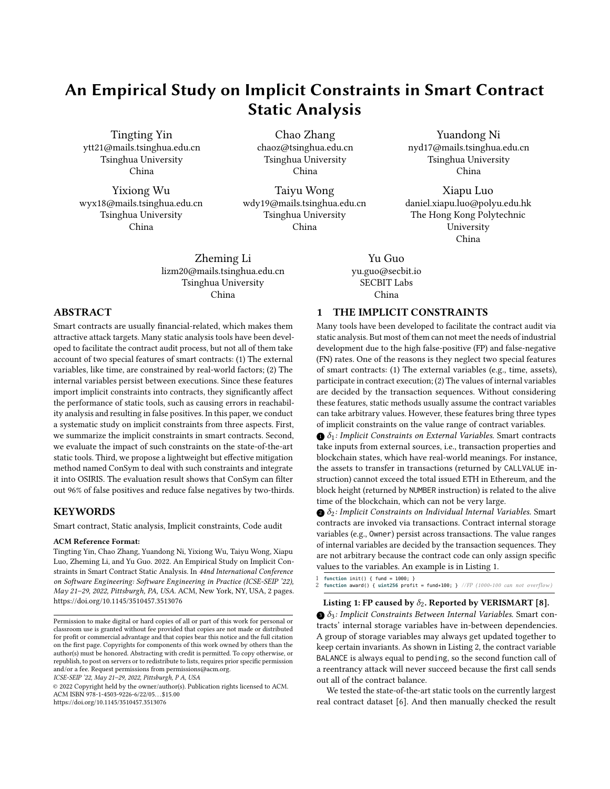# An Empirical Study on Implicit Constraints in Smart Contract Static Analysis

Tingting Yin ytt21@mails.tsinghua.edu.cn Tsinghua University China

Yixiong Wu wyx18@mails.tsinghua.edu.cn Tsinghua University China

Chao Zhang chaoz@tsinghua.edu.cn Tsinghua University China

Taiyu Wong wdy19@mails.tsinghua.edu.cn Tsinghua University China

Zheming Li lizm20@mails.tsinghua.edu.cn Tsinghua University China

Yuandong Ni nyd17@mails.tsinghua.edu.cn Tsinghua University China

Xiapu Luo daniel.xiapu.luo@polyu.edu.hk The Hong Kong Polytechnic University China

Yu Guo yu.guo@secbit.io SECBIT Labs China

# 1 THE IMPLICIT CONSTRAINTS

Many tools have been developed to facilitate the contract audit via static analysis. But most of them can not meet the needs of industrial development due to the high false-positive (FP) and false-negative (FN) rates. One of the reasons is they neglect two special features of smart contracts: (1) The external variables (e.g., time, assets), participate in contract execution; (2) The values of internal variables are decided by the transaction sequences. Without considering these features, static methods usually assume the contract variables can take arbitrary values. However, these features bring three types of implicit constraints on the value range of contract variables.

 $\bigcirc$   $\delta_1$ : Implicit Constraints on External Variables. Smart contracts take inputs from external sources, i.e., transaction properties and blockchain states, which have real-world meanings. For instance, the assets to transfer in transactions (returned by CALLVALUE instruction) cannot exceed the total issued ETH in Ethereum, and the block height (returned by NUMBER instruction) is related to the alive time of the blockchain, which can not be very large.

 $\delta_2$ : Implicit Constraints on Individual Internal Variables. Smart contracts are invoked via transactions. Contract internal storage variables (e.g., Owner) persist across transactions. The value ranges of internal variables are decided by the transaction sequences. They are not arbitrary because the contract code can only assign specific values to the variables. An example is in Listing [1.](#page-0-0)

<span id="page-0-0"></span>1 **function** init() { fund = 1000; } **function award() { uint256 profit = fund\*100; }** //FP (1000∗100 can not overflow)

### Listing 1: FP caused by  $\delta_2$ . Reported by VERISMART [\[8\]](#page-1-1).

 $\mathbf{\Theta} \delta_3$ : Implicit Constraints Between Internal Variables. Smart contracts' internal storage variables have in-between dependencies. A group of storage variables may always get updated together to keep certain invariants. As shown in Listing [2,](#page-1-2) the contract variable BALANCE is always equal to pending, so the second function call of a reentrancy attack will never succeed because the first call sends out all of the contract balance.

We tested the state-of-the-art static tools on the currently largest real contract dataset [\[6\]](#page-1-3). And then manually checked the result

# ABSTRACT

Smart contracts are usually financial-related, which makes them attractive attack targets. Many static analysis tools have been developed to facilitate the contract audit process, but not all of them take account of two special features of smart contracts: (1) The external variables, like time, are constrained by real-world factors; (2) The internal variables persist between executions. Since these features import implicit constraints into contracts, they significantly affect the performance of static tools, such as causing errors in reachability analysis and resulting in false positives. In this paper, we conduct a systematic study on implicit constraints from three aspects. First, we summarize the implicit constraints in smart contracts. Second, we evaluate the impact of such constraints on the state-of-the-art static tools. Third, we propose a lightweight but effective mitigation method named ConSym to deal with such constraints and integrate it into OSIRIS. The evaluation result shows that ConSym can filter out 96% of false positives and reduce false negatives by two-thirds.

## **KEYWORDS**

Smart contract, Static analysis, Implicit constraints, Code audit

#### ACM Reference Format:

Tingting Yin, Chao Zhang, Yuandong Ni, Yixiong Wu, Taiyu Wong, Xiapu Luo, Zheming Li, and Yu Guo. 2022. An Empirical Study on Implicit Constraints in Smart Contract Static Analysis. In 44nd International Conference on Software Engineering: Software Engineering in Practice (ICSE-SEIP '22), May 21–29, 2022, Pittsburgh, PA, USA. ACM, New York, NY, USA, [2](#page-1-0) pages. <https://doi.org/10.1145/3510457.3513076>

ICSE-SEIP '22, May 21–29, 2022, Pittsburgh, P A, USA

© 2022 Copyright held by the owner/author(s). Publication rights licensed to ACM. ACM ISBN 978-1-4503-9226-6/22/05. . . \$15.00 <https://doi.org/10.1145/3510457.3513076>

Permission to make digital or hard copies of all or part of this work for personal or classroom use is granted without fee provided that copies are not made or distributed for profit or commercial advantage and that copies bear this notice and the full citation on the first page. Copyrights for components of this work owned by others than the author(s) must be honored. Abstracting with credit is permitted. To copy otherwise, or republish, to post on servers or to redistribute to lists, requires prior specific permission and/or a fee. Request permissions from permissions@acm.org.